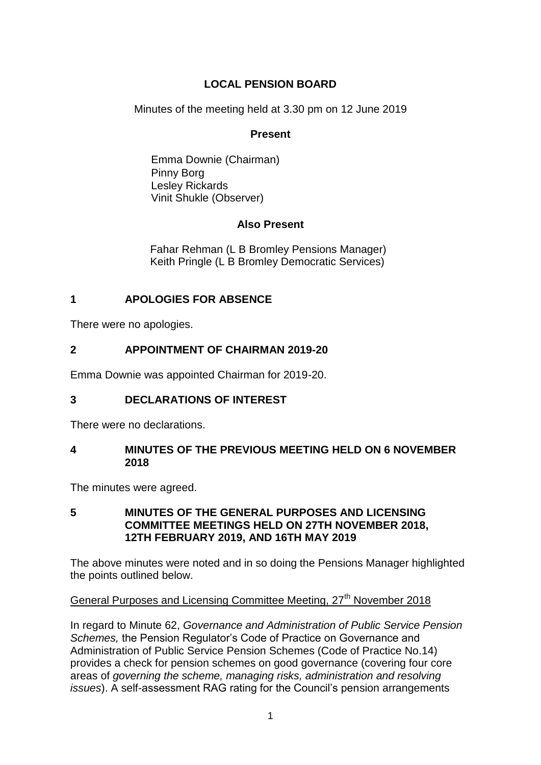# **LOCAL PENSION BOARD**

Minutes of the meeting held at 3.30 pm on 12 June 2019

## **Present**

Emma Downie (Chairman) Pinny Borg Lesley Rickards Vinit Shukle (Observer)

## **Also Present**

Fahar Rehman (L B Bromley Pensions Manager) Keith Pringle (L B Bromley Democratic Services)

# **1 APOLOGIES FOR ABSENCE**

There were no apologies.

# **2 APPOINTMENT OF CHAIRMAN 2019-20**

Emma Downie was appointed Chairman for 2019-20.

# **3 DECLARATIONS OF INTEREST**

There were no declarations.

## **4 MINUTES OF THE PREVIOUS MEETING HELD ON 6 NOVEMBER 2018**

The minutes were agreed.

## **5 MINUTES OF THE GENERAL PURPOSES AND LICENSING COMMITTEE MEETINGS HELD ON 27TH NOVEMBER 2018, 12TH FEBRUARY 2019, AND 16TH MAY 2019**

The above minutes were noted and in so doing the Pensions Manager highlighted the points outlined below.

# General Purposes and Licensing Committee Meeting, 27<sup>th</sup> November 2018

In regard to Minute 62, *Governance and Administration of Public Service Pension Schemes,* the Pension Regulator's Code of Practice on Governance and Administration of Public Service Pension Schemes (Code of Practice No.14) provides a check for pension schemes on good governance (covering four core areas of *governing the scheme, managing risks, administration and resolving issues*). A self-assessment RAG rating for the Council's pension arrangements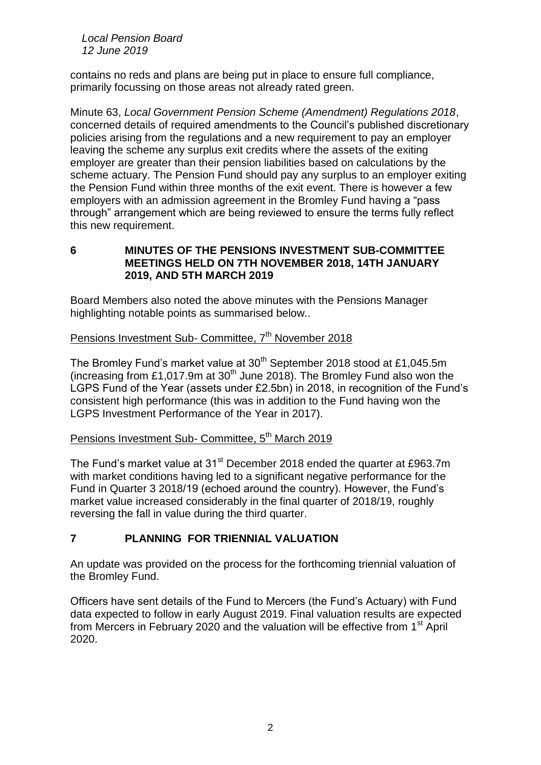*Local Pension Board 12 June 2019*

contains no reds and plans are being put in place to ensure full compliance, primarily focussing on those areas not already rated green.

Minute 63, *Local Government Pension Scheme (Amendment) Regulations 2018*, concerned details of required amendments to the Council's published discretionary policies arising from the regulations and a new requirement to pay an employer leaving the scheme any surplus exit credits where the assets of the exiting employer are greater than their pension liabilities based on calculations by the scheme actuary. The Pension Fund should pay any surplus to an employer exiting the Pension Fund within three months of the exit event. There is however a few employers with an admission agreement in the Bromley Fund having a "pass through" arrangement which are being reviewed to ensure the terms fully reflect this new requirement.

**6 MINUTES OF THE PENSIONS INVESTMENT SUB-COMMITTEE MEETINGS HELD ON 7TH NOVEMBER 2018, 14TH JANUARY 2019, AND 5TH MARCH 2019**

Board Members also noted the above minutes with the Pensions Manager highlighting notable points as summarised below..

## Pensions Investment Sub- Committee, 7<sup>th</sup> November 2018

The Bromley Fund's market value at 30<sup>th</sup> September 2018 stood at £1,045.5m (increasing from £1,017.9m at  $30<sup>th</sup>$  June 2018). The Bromley Fund also won the LGPS Fund of the Year (assets under £2.5bn) in 2018, in recognition of the Fund's consistent high performance (this was in addition to the Fund having won the LGPS Investment Performance of the Year in 2017).

# Pensions Investment Sub- Committee, 5<sup>th</sup> March 2019

The Fund's market value at 31<sup>st</sup> December 2018 ended the quarter at £963.7m with market conditions having led to a significant negative performance for the Fund in Quarter 3 2018/19 (echoed around the country). However, the Fund's market value increased considerably in the final quarter of 2018/19, roughly reversing the fall in value during the third quarter.

## **7 PLANNING FOR TRIENNIAL VALUATION**

An update was provided on the process for the forthcoming triennial valuation of the Bromley Fund.

Officers have sent details of the Fund to Mercers (the Fund's Actuary) with Fund data expected to follow in early August 2019. Final valuation results are expected from Mercers in February 2020 and the valuation will be effective from 1<sup>st</sup> April 2020.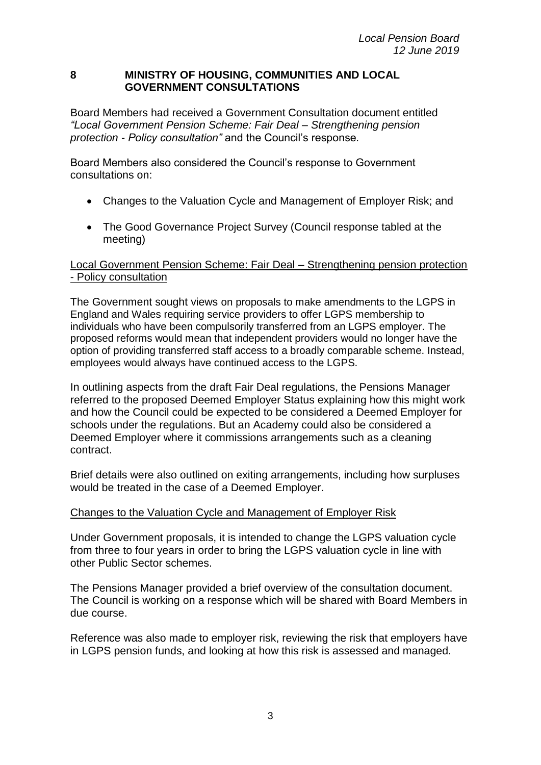#### **8 MINISTRY OF HOUSING, COMMUNITIES AND LOCAL GOVERNMENT CONSULTATIONS**

Board Members had received a Government Consultation document entitled *"Local Government Pension Scheme: Fair Deal – Strengthening pension protection - Policy consultation"* and the Council's response*.* 

Board Members also considered the Council's response to Government consultations on:

- Changes to the Valuation Cycle and Management of Employer Risk; and
- The Good Governance Project Survey (Council response tabled at the meeting)

## Local Government Pension Scheme: Fair Deal – Strengthening pension protection - Policy consultation

The Government sought views on proposals to make amendments to the LGPS in England and Wales requiring service providers to offer LGPS membership to individuals who have been compulsorily transferred from an LGPS employer. The proposed reforms would mean that independent providers would no longer have the option of providing transferred staff access to a broadly comparable scheme. Instead, employees would always have continued access to the LGPS.

In outlining aspects from the draft Fair Deal regulations, the Pensions Manager referred to the proposed Deemed Employer Status explaining how this might work and how the Council could be expected to be considered a Deemed Employer for schools under the regulations. But an Academy could also be considered a Deemed Employer where it commissions arrangements such as a cleaning contract.

Brief details were also outlined on exiting arrangements, including how surpluses would be treated in the case of a Deemed Employer.

### Changes to the Valuation Cycle and Management of Employer Risk

Under Government proposals, it is intended to change the LGPS valuation cycle from three to four years in order to bring the LGPS valuation cycle in line with other Public Sector schemes.

The Pensions Manager provided a brief overview of the consultation document. The Council is working on a response which will be shared with Board Members in due course.

Reference was also made to employer risk, reviewing the risk that employers have in LGPS pension funds, and looking at how this risk is assessed and managed.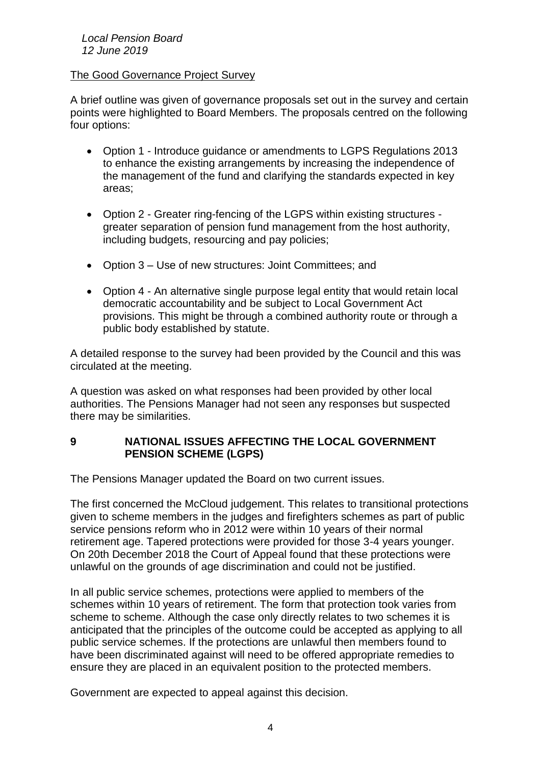#### *Local Pension Board 12 June 2019*

### The Good Governance Project Survey

A brief outline was given of governance proposals set out in the survey and certain points were highlighted to Board Members. The proposals centred on the following four options:

- Option 1 Introduce guidance or amendments to LGPS Regulations 2013 to enhance the existing arrangements by increasing the independence of the management of the fund and clarifying the standards expected in key areas;
- Option 2 Greater ring-fencing of the LGPS within existing structures greater separation of pension fund management from the host authority, including budgets, resourcing and pay policies;
- Option 3 Use of new structures: Joint Committees; and
- Option 4 An alternative single purpose legal entity that would retain local democratic accountability and be subject to Local Government Act provisions. This might be through a combined authority route or through a public body established by statute.

A detailed response to the survey had been provided by the Council and this was circulated at the meeting.

A question was asked on what responses had been provided by other local authorities. The Pensions Manager had not seen any responses but suspected there may be similarities.

## **9 NATIONAL ISSUES AFFECTING THE LOCAL GOVERNMENT PENSION SCHEME (LGPS)**

The Pensions Manager updated the Board on two current issues.

The first concerned the McCloud judgement. This relates to transitional protections given to scheme members in the judges and firefighters schemes as part of public service pensions reform who in 2012 were within 10 years of their normal retirement age. Tapered protections were provided for those 3-4 years younger. On 20th December 2018 the Court of Appeal found that these protections were unlawful on the grounds of age discrimination and could not be justified.

In all public service schemes, protections were applied to members of the schemes within 10 years of retirement. The form that protection took varies from scheme to scheme. Although the case only directly relates to two schemes it is anticipated that the principles of the outcome could be accepted as applying to all public service schemes. If the protections are unlawful then members found to have been discriminated against will need to be offered appropriate remedies to ensure they are placed in an equivalent position to the protected members.

Government are expected to appeal against this decision.